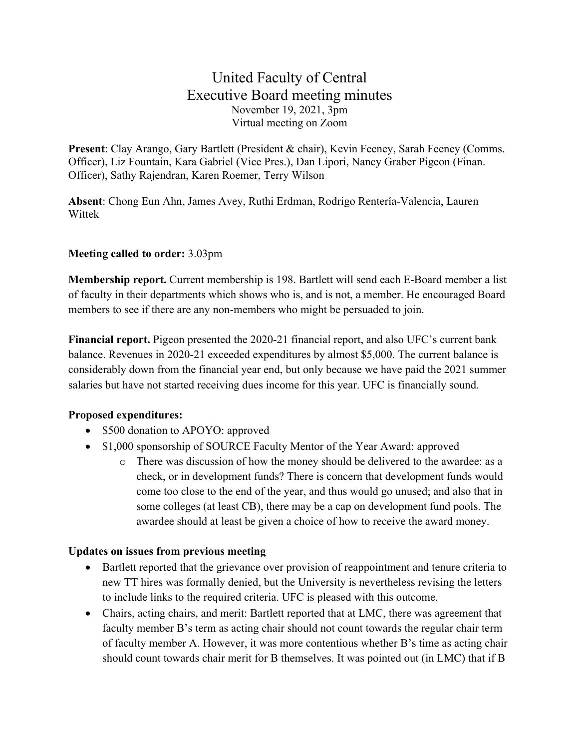## United Faculty of Central Executive Board meeting minutes November 19, 2021, 3pm Virtual meeting on Zoom

**Present**: Clay Arango, Gary Bartlett (President & chair), Kevin Feeney, Sarah Feeney (Comms. Officer), Liz Fountain, Kara Gabriel (Vice Pres.), Dan Lipori, Nancy Graber Pigeon (Finan. Officer), Sathy Rajendran, Karen Roemer, Terry Wilson

**Absent**: Chong Eun Ahn, James Avey, Ruthi Erdman, Rodrigo Rentería-Valencia, Lauren Wittek

## **Meeting called to order:** 3.03pm

**Membership report.** Current membership is 198. Bartlett will send each E-Board member a list of faculty in their departments which shows who is, and is not, a member. He encouraged Board members to see if there are any non-members who might be persuaded to join.

**Financial report.** Pigeon presented the 2020-21 financial report, and also UFC's current bank balance. Revenues in 2020-21 exceeded expenditures by almost \$5,000. The current balance is considerably down from the financial year end, but only because we have paid the 2021 summer salaries but have not started receiving dues income for this year. UFC is financially sound.

## **Proposed expenditures:**

- \$500 donation to APOYO: approved
- \$1,000 sponsorship of SOURCE Faculty Mentor of the Year Award: approved
	- o There was discussion of how the money should be delivered to the awardee: as a check, or in development funds? There is concern that development funds would come too close to the end of the year, and thus would go unused; and also that in some colleges (at least CB), there may be a cap on development fund pools. The awardee should at least be given a choice of how to receive the award money.

## **Updates on issues from previous meeting**

- Bartlett reported that the grievance over provision of reappointment and tenure criteria to new TT hires was formally denied, but the University is nevertheless revising the letters to include links to the required criteria. UFC is pleased with this outcome.
- Chairs, acting chairs, and merit: Bartlett reported that at LMC, there was agreement that faculty member B's term as acting chair should not count towards the regular chair term of faculty member A. However, it was more contentious whether B's time as acting chair should count towards chair merit for B themselves. It was pointed out (in LMC) that if B